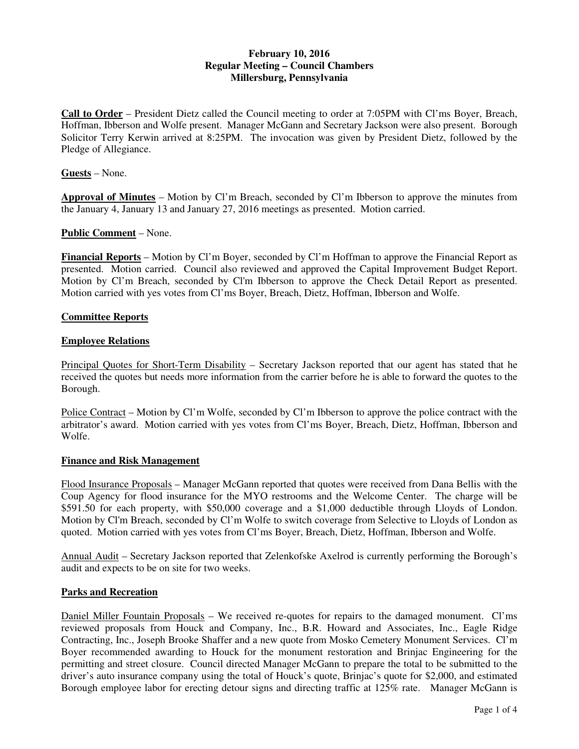# **February 10, 2016 Regular Meeting – Council Chambers Millersburg, Pennsylvania**

**Call to Order** – President Dietz called the Council meeting to order at 7:05PM with Cl'ms Boyer, Breach, Hoffman, Ibberson and Wolfe present. Manager McGann and Secretary Jackson were also present. Borough Solicitor Terry Kerwin arrived at 8:25PM. The invocation was given by President Dietz, followed by the Pledge of Allegiance.

### **Guests** – None.

**Approval of Minutes** – Motion by Cl'm Breach, seconded by Cl'm Ibberson to approve the minutes from the January 4, January 13 and January 27, 2016 meetings as presented. Motion carried.

## **Public Comment** – None.

**Financial Reports** – Motion by Cl'm Boyer, seconded by Cl'm Hoffman to approve the Financial Report as presented. Motion carried. Council also reviewed and approved the Capital Improvement Budget Report. Motion by Cl'm Breach, seconded by Cl'm Ibberson to approve the Check Detail Report as presented. Motion carried with yes votes from Cl'ms Boyer, Breach, Dietz, Hoffman, Ibberson and Wolfe.

### **Committee Reports**

### **Employee Relations**

Principal Quotes for Short-Term Disability – Secretary Jackson reported that our agent has stated that he received the quotes but needs more information from the carrier before he is able to forward the quotes to the Borough.

Police Contract – Motion by Cl'm Wolfe, seconded by Cl'm Ibberson to approve the police contract with the arbitrator's award. Motion carried with yes votes from Cl'ms Boyer, Breach, Dietz, Hoffman, Ibberson and Wolfe.

## **Finance and Risk Management**

Flood Insurance Proposals – Manager McGann reported that quotes were received from Dana Bellis with the Coup Agency for flood insurance for the MYO restrooms and the Welcome Center. The charge will be \$591.50 for each property, with \$50,000 coverage and a \$1,000 deductible through Lloyds of London. Motion by Cl'm Breach, seconded by Cl'm Wolfe to switch coverage from Selective to Lloyds of London as quoted. Motion carried with yes votes from Cl'ms Boyer, Breach, Dietz, Hoffman, Ibberson and Wolfe.

Annual Audit – Secretary Jackson reported that Zelenkofske Axelrod is currently performing the Borough's audit and expects to be on site for two weeks.

## **Parks and Recreation**

Daniel Miller Fountain Proposals – We received re-quotes for repairs to the damaged monument. Cl'ms reviewed proposals from Houck and Company, Inc., B.R. Howard and Associates, Inc., Eagle Ridge Contracting, Inc., Joseph Brooke Shaffer and a new quote from Mosko Cemetery Monument Services. Cl'm Boyer recommended awarding to Houck for the monument restoration and Brinjac Engineering for the permitting and street closure. Council directed Manager McGann to prepare the total to be submitted to the driver's auto insurance company using the total of Houck's quote, Brinjac's quote for \$2,000, and estimated Borough employee labor for erecting detour signs and directing traffic at 125% rate. Manager McGann is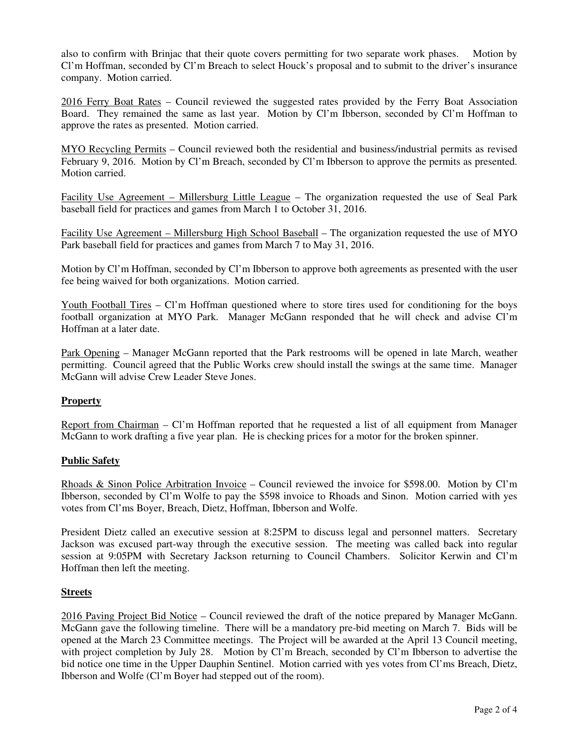also to confirm with Brinjac that their quote covers permitting for two separate work phases. Motion by Cl'm Hoffman, seconded by Cl'm Breach to select Houck's proposal and to submit to the driver's insurance company. Motion carried.

2016 Ferry Boat Rates – Council reviewed the suggested rates provided by the Ferry Boat Association Board. They remained the same as last year. Motion by Cl'm Ibberson, seconded by Cl'm Hoffman to approve the rates as presented. Motion carried.

MYO Recycling Permits – Council reviewed both the residential and business/industrial permits as revised February 9, 2016. Motion by Cl'm Breach, seconded by Cl'm Ibberson to approve the permits as presented. Motion carried.

Facility Use Agreement – Millersburg Little League – The organization requested the use of Seal Park baseball field for practices and games from March 1 to October 31, 2016.

Facility Use Agreement – Millersburg High School Baseball – The organization requested the use of MYO Park baseball field for practices and games from March 7 to May 31, 2016.

Motion by Cl'm Hoffman, seconded by Cl'm Ibberson to approve both agreements as presented with the user fee being waived for both organizations. Motion carried.

Youth Football Tires – Cl'm Hoffman questioned where to store tires used for conditioning for the boys football organization at MYO Park. Manager McGann responded that he will check and advise Cl'm Hoffman at a later date.

Park Opening – Manager McGann reported that the Park restrooms will be opened in late March, weather permitting. Council agreed that the Public Works crew should install the swings at the same time. Manager McGann will advise Crew Leader Steve Jones.

# **Property**

Report from Chairman – Cl'm Hoffman reported that he requested a list of all equipment from Manager McGann to work drafting a five year plan. He is checking prices for a motor for the broken spinner.

## **Public Safety**

Rhoads & Sinon Police Arbitration Invoice – Council reviewed the invoice for \$598.00. Motion by Cl'm Ibberson, seconded by Cl'm Wolfe to pay the \$598 invoice to Rhoads and Sinon. Motion carried with yes votes from Cl'ms Boyer, Breach, Dietz, Hoffman, Ibberson and Wolfe.

President Dietz called an executive session at 8:25PM to discuss legal and personnel matters. Secretary Jackson was excused part-way through the executive session. The meeting was called back into regular session at 9:05PM with Secretary Jackson returning to Council Chambers. Solicitor Kerwin and Cl'm Hoffman then left the meeting.

## **Streets**

2016 Paving Project Bid Notice – Council reviewed the draft of the notice prepared by Manager McGann. McGann gave the following timeline. There will be a mandatory pre-bid meeting on March 7. Bids will be opened at the March 23 Committee meetings. The Project will be awarded at the April 13 Council meeting, with project completion by July 28. Motion by Cl'm Breach, seconded by Cl'm Ibberson to advertise the bid notice one time in the Upper Dauphin Sentinel. Motion carried with yes votes from Cl'ms Breach, Dietz, Ibberson and Wolfe (Cl'm Boyer had stepped out of the room).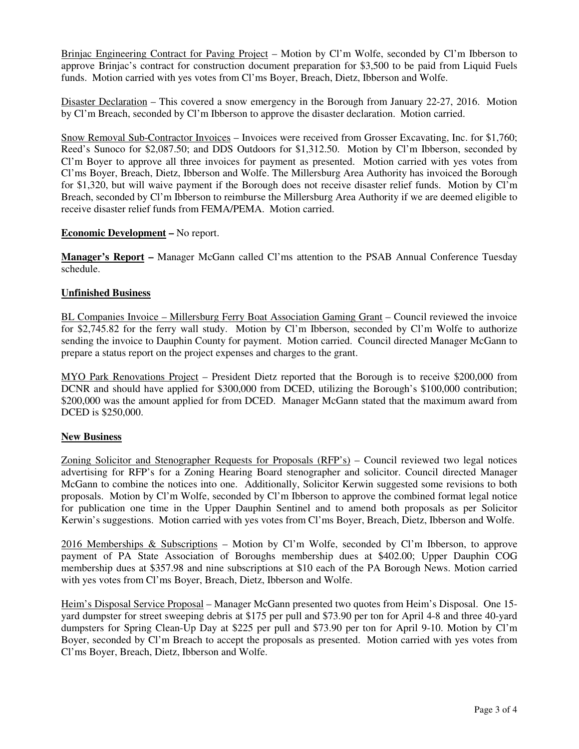Brinjac Engineering Contract for Paving Project – Motion by Cl'm Wolfe, seconded by Cl'm Ibberson to approve Brinjac's contract for construction document preparation for \$3,500 to be paid from Liquid Fuels funds. Motion carried with yes votes from Cl'ms Boyer, Breach, Dietz, Ibberson and Wolfe.

Disaster Declaration – This covered a snow emergency in the Borough from January 22-27, 2016. Motion by Cl'm Breach, seconded by Cl'm Ibberson to approve the disaster declaration. Motion carried.

Snow Removal Sub-Contractor Invoices – Invoices were received from Grosser Excavating, Inc. for \$1,760; Reed's Sunoco for \$2,087.50; and DDS Outdoors for \$1,312.50. Motion by Cl'm Ibberson, seconded by Cl'm Boyer to approve all three invoices for payment as presented. Motion carried with yes votes from Cl'ms Boyer, Breach, Dietz, Ibberson and Wolfe. The Millersburg Area Authority has invoiced the Borough for \$1,320, but will waive payment if the Borough does not receive disaster relief funds. Motion by Cl'm Breach, seconded by Cl'm Ibberson to reimburse the Millersburg Area Authority if we are deemed eligible to receive disaster relief funds from FEMA/PEMA. Motion carried.

## **Economic Development –** No report.

**Manager's Report –** Manager McGann called Cl'ms attention to the PSAB Annual Conference Tuesday schedule.

### **Unfinished Business**

BL Companies Invoice – Millersburg Ferry Boat Association Gaming Grant – Council reviewed the invoice for \$2,745.82 for the ferry wall study. Motion by Cl'm Ibberson, seconded by Cl'm Wolfe to authorize sending the invoice to Dauphin County for payment. Motion carried. Council directed Manager McGann to prepare a status report on the project expenses and charges to the grant.

MYO Park Renovations Project – President Dietz reported that the Borough is to receive \$200,000 from DCNR and should have applied for \$300,000 from DCED, utilizing the Borough's \$100,000 contribution; \$200,000 was the amount applied for from DCED. Manager McGann stated that the maximum award from DCED is \$250,000.

#### **New Business**

Zoning Solicitor and Stenographer Requests for Proposals (RFP's) – Council reviewed two legal notices advertising for RFP's for a Zoning Hearing Board stenographer and solicitor. Council directed Manager McGann to combine the notices into one. Additionally, Solicitor Kerwin suggested some revisions to both proposals. Motion by Cl'm Wolfe, seconded by Cl'm Ibberson to approve the combined format legal notice for publication one time in the Upper Dauphin Sentinel and to amend both proposals as per Solicitor Kerwin's suggestions. Motion carried with yes votes from Cl'ms Boyer, Breach, Dietz, Ibberson and Wolfe.

 $2016$  Memberships & Subscriptions – Motion by Cl'm Wolfe, seconded by Cl'm Ibberson, to approve payment of PA State Association of Boroughs membership dues at \$402.00; Upper Dauphin COG membership dues at \$357.98 and nine subscriptions at \$10 each of the PA Borough News. Motion carried with yes votes from Cl'ms Boyer, Breach, Dietz, Ibberson and Wolfe.

Heim's Disposal Service Proposal – Manager McGann presented two quotes from Heim's Disposal. One 15 yard dumpster for street sweeping debris at \$175 per pull and \$73.90 per ton for April 4-8 and three 40-yard dumpsters for Spring Clean-Up Day at \$225 per pull and \$73.90 per ton for April 9-10. Motion by Cl'm Boyer, seconded by Cl'm Breach to accept the proposals as presented. Motion carried with yes votes from Cl'ms Boyer, Breach, Dietz, Ibberson and Wolfe.